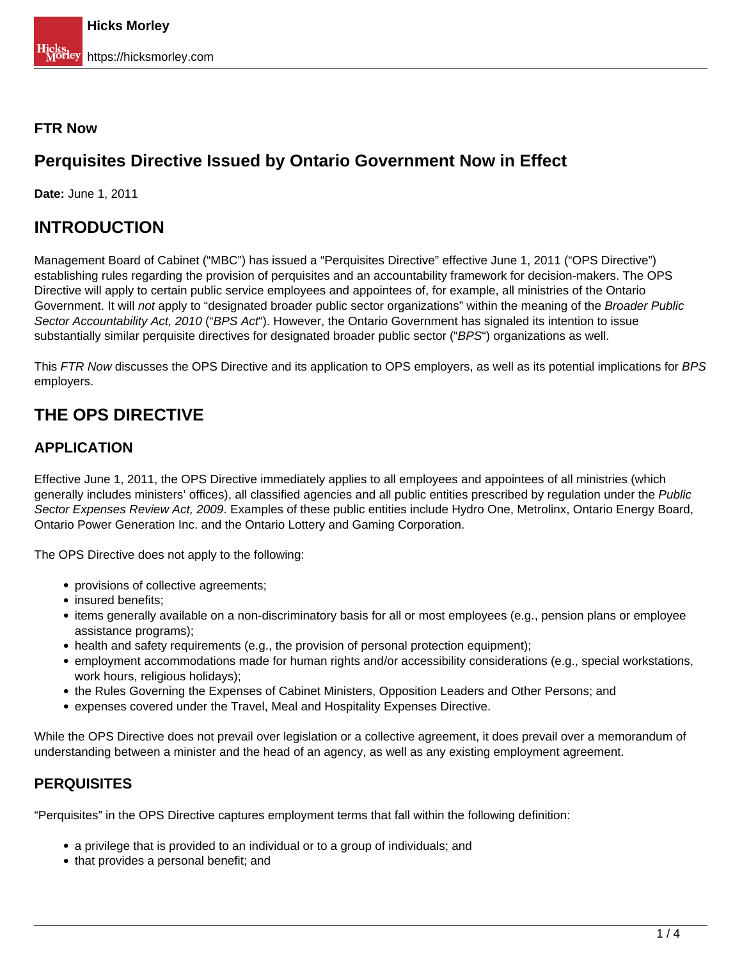### **FTR Now**

## **Perquisites Directive Issued by Ontario Government Now in Effect**

**Date:** June 1, 2011

### **INTRODUCTION**

Management Board of Cabinet ("MBC") has issued a "Perquisites Directive" effective June 1, 2011 ("OPS Directive") establishing rules regarding the provision of perquisites and an accountability framework for decision-makers. The OPS Directive will apply to certain public service employees and appointees of, for example, all ministries of the Ontario Government. It will not apply to "designated broader public sector organizations" within the meaning of the Broader Public Sector Accountability Act, 2010 ("BPS Act"). However, the Ontario Government has signaled its intention to issue substantially similar perquisite directives for designated broader public sector ("BPS") organizations as well.

This FTR Now discusses the OPS Directive and its application to OPS employers, as well as its potential implications for BPS employers.

# **THE OPS DIRECTIVE**

### **APPLICATION**

Effective June 1, 2011, the OPS Directive immediately applies to all employees and appointees of all ministries (which generally includes ministers' offices), all classified agencies and all public entities prescribed by regulation under the Public Sector Expenses Review Act, 2009. Examples of these public entities include Hydro One, Metrolinx, Ontario Energy Board, Ontario Power Generation Inc. and the Ontario Lottery and Gaming Corporation.

The OPS Directive does not apply to the following:

- provisions of collective agreements;
- insured benefits;
- items generally available on a non-discriminatory basis for all or most employees (e.g., pension plans or employee assistance programs);
- health and safety requirements (e.g., the provision of personal protection equipment);
- employment accommodations made for human rights and/or accessibility considerations (e.g., special workstations, work hours, religious holidays);
- the Rules Governing the Expenses of Cabinet Ministers, Opposition Leaders and Other Persons; and
- expenses covered under the Travel, Meal and Hospitality Expenses Directive.

While the OPS Directive does not prevail over legislation or a collective agreement, it does prevail over a memorandum of understanding between a minister and the head of an agency, as well as any existing employment agreement.

### **PERQUISITES**

"Perquisites" in the OPS Directive captures employment terms that fall within the following definition:

- a privilege that is provided to an individual or to a group of individuals; and
- that provides a personal benefit; and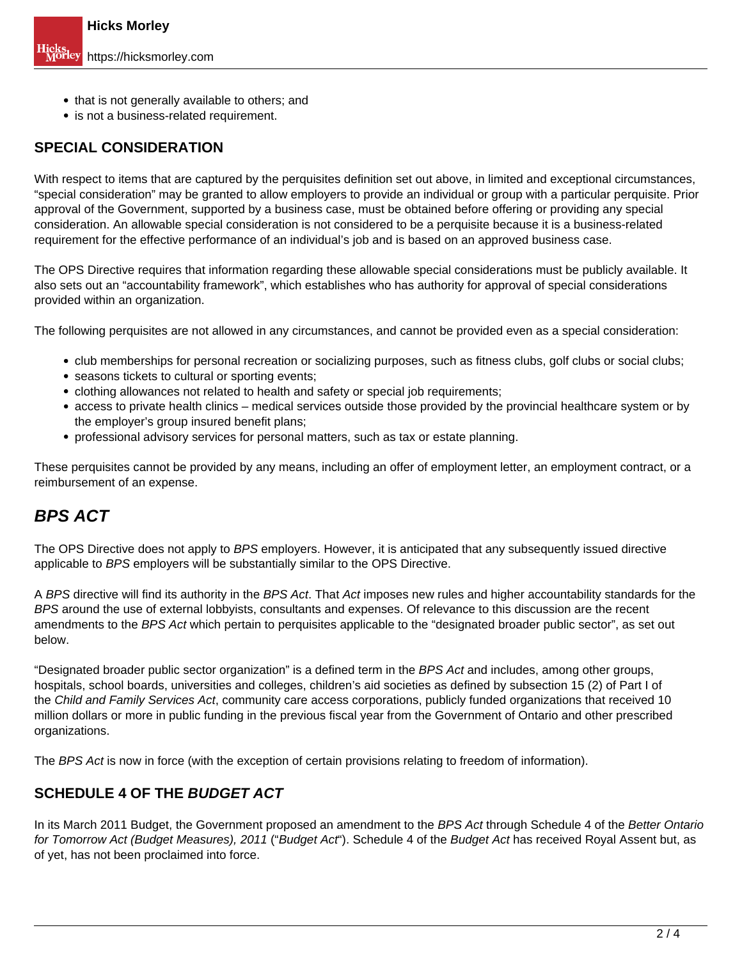- that is not generally available to others; and
- is not a business-related requirement.

### **SPECIAL CONSIDERATION**

With respect to items that are captured by the perquisites definition set out above, in limited and exceptional circumstances, "special consideration" may be granted to allow employers to provide an individual or group with a particular perquisite. Prior approval of the Government, supported by a business case, must be obtained before offering or providing any special consideration. An allowable special consideration is not considered to be a perquisite because it is a business-related requirement for the effective performance of an individual's job and is based on an approved business case.

The OPS Directive requires that information regarding these allowable special considerations must be publicly available. It also sets out an "accountability framework", which establishes who has authority for approval of special considerations provided within an organization.

The following perquisites are not allowed in any circumstances, and cannot be provided even as a special consideration:

- club memberships for personal recreation or socializing purposes, such as fitness clubs, golf clubs or social clubs;
- seasons tickets to cultural or sporting events;
- clothing allowances not related to health and safety or special job requirements;
- access to private health clinics medical services outside those provided by the provincial healthcare system or by the employer's group insured benefit plans;
- professional advisory services for personal matters, such as tax or estate planning.

These perquisites cannot be provided by any means, including an offer of employment letter, an employment contract, or a reimbursement of an expense.

### **BPS ACT**

The OPS Directive does not apply to BPS employers. However, it is anticipated that any subsequently issued directive applicable to BPS employers will be substantially similar to the OPS Directive.

A BPS directive will find its authority in the BPS Act. That Act imposes new rules and higher accountability standards for the BPS around the use of external lobbyists, consultants and expenses. Of relevance to this discussion are the recent amendments to the BPS Act which pertain to perquisites applicable to the "designated broader public sector", as set out below.

"Designated broader public sector organization" is a defined term in the BPS Act and includes, among other groups, hospitals, school boards, universities and colleges, children's aid societies as defined by subsection 15 (2) of Part I of the Child and Family Services Act, community care access corporations, publicly funded organizations that received 10 million dollars or more in public funding in the previous fiscal year from the Government of Ontario and other prescribed organizations.

The BPS Act is now in force (with the exception of certain provisions relating to freedom of information).

### **SCHEDULE 4 OF THE BUDGET ACT**

In its March 2011 Budget, the Government proposed an amendment to the BPS Act through Schedule 4 of the Better Ontario for Tomorrow Act (Budget Measures), 2011 ("Budget Act"). Schedule 4 of the Budget Act has received Royal Assent but, as of yet, has not been proclaimed into force.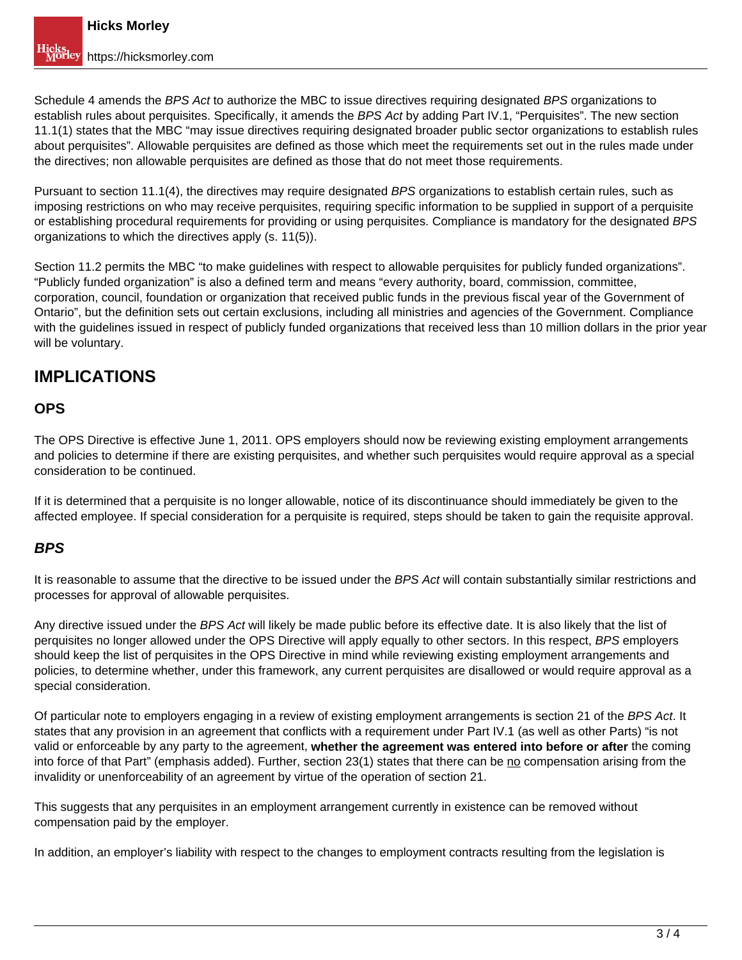Schedule 4 amends the BPS Act to authorize the MBC to issue directives requiring designated BPS organizations to establish rules about perquisites. Specifically, it amends the BPS Act by adding Part IV.1, "Perquisites". The new section 11.1(1) states that the MBC "may issue directives requiring designated broader public sector organizations to establish rules about perquisites". Allowable perquisites are defined as those which meet the requirements set out in the rules made under the directives; non allowable perquisites are defined as those that do not meet those requirements.

Pursuant to section 11.1(4), the directives may require designated BPS organizations to establish certain rules, such as imposing restrictions on who may receive perquisites, requiring specific information to be supplied in support of a perquisite or establishing procedural requirements for providing or using perquisites. Compliance is mandatory for the designated BPS organizations to which the directives apply (s. 11(5)).

Section 11.2 permits the MBC "to make guidelines with respect to allowable perquisites for publicly funded organizations". "Publicly funded organization" is also a defined term and means "every authority, board, commission, committee, corporation, council, foundation or organization that received public funds in the previous fiscal year of the Government of Ontario", but the definition sets out certain exclusions, including all ministries and agencies of the Government. Compliance with the guidelines issued in respect of publicly funded organizations that received less than 10 million dollars in the prior year will be voluntary.

## **IMPLICATIONS**

### **OPS**

The OPS Directive is effective June 1, 2011. OPS employers should now be reviewing existing employment arrangements and policies to determine if there are existing perquisites, and whether such perquisites would require approval as a special consideration to be continued.

If it is determined that a perquisite is no longer allowable, notice of its discontinuance should immediately be given to the affected employee. If special consideration for a perquisite is required, steps should be taken to gain the requisite approval.

### **BPS**

It is reasonable to assume that the directive to be issued under the BPS Act will contain substantially similar restrictions and processes for approval of allowable perquisites.

Any directive issued under the BPS Act will likely be made public before its effective date. It is also likely that the list of perquisites no longer allowed under the OPS Directive will apply equally to other sectors. In this respect, BPS employers should keep the list of perquisites in the OPS Directive in mind while reviewing existing employment arrangements and policies, to determine whether, under this framework, any current perquisites are disallowed or would require approval as a special consideration.

Of particular note to employers engaging in a review of existing employment arrangements is section 21 of the BPS Act. It states that any provision in an agreement that conflicts with a requirement under Part IV.1 (as well as other Parts) "is not valid or enforceable by any party to the agreement, **whether the agreement was entered into before or after** the coming into force of that Part" (emphasis added). Further, section 23(1) states that there can be no compensation arising from the invalidity or unenforceability of an agreement by virtue of the operation of section 21.

This suggests that any perquisites in an employment arrangement currently in existence can be removed without compensation paid by the employer.

In addition, an employer's liability with respect to the changes to employment contracts resulting from the legislation is